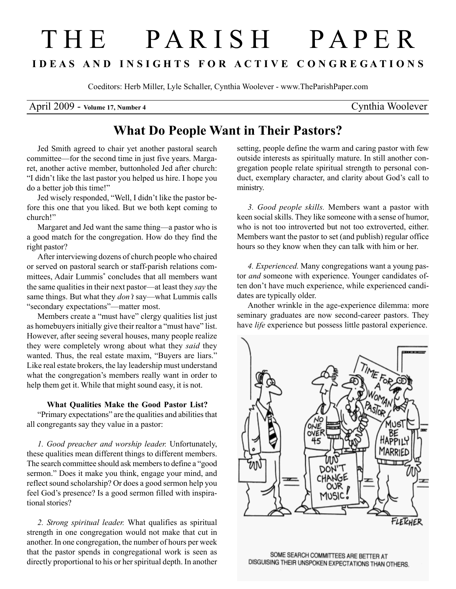# T H E P A R I S H P A P E R I D E A S A N D I N S I G H T S F O R A C T I V E C O N G R E G A T I O N S

Coeditors: Herb Miller, Lyle Schaller, Cynthia Woolever - www.TheParishPaper.com

### April 2009 - Volume 17, Number 4 Cynthia Woolever

## What Do People Want in Their Pastors?

Jed Smith agreed to chair yet another pastoral search committee—for the second time in just five years. Margaret, another active member, buttonholed Jed after church: "I didn't like the last pastor you helped us hire. I hope you do a better job this time!"

Jed wisely responded, "Well, I didn't like the pastor before this one that you liked. But we both kept coming to church!"

Margaret and Jed want the same thing—a pastor who is a good match for the congregation. How do they find the right pastor?

After interviewing dozens of church people who chaired or served on pastoral search or staff-parish relations committees, Adair Lummis<sup>\*</sup> concludes that all members want the same qualities in their next pastor—at least they say the same things. But what they *don't* say—what Lummis calls "secondary expectations"—matter most.

Members create a "must have" clergy qualities list just as homebuyers initially give their realtor a "must have" list. However, after seeing several houses, many people realize they were completely wrong about what they said they wanted. Thus, the real estate maxim, "Buyers are liars." Like real estate brokers, the lay leadership must understand what the congregation's members really want in order to help them get it. While that might sound easy, it is not.

#### What Qualities Make the Good Pastor List?

"Primary expectations" are the qualities and abilities that all congregants say they value in a pastor:

1. Good preacher and worship leader. Unfortunately, these qualities mean different things to different members. The search committee should ask members to define a "good sermon." Does it make you think, engage your mind, and reflect sound scholarship? Or does a good sermon help you feel God's presence? Is a good sermon filled with inspirational stories?

2. Strong spiritual leader. What qualifies as spiritual strength in one congregation would not make that cut in another. In one congregation, the number of hours per week that the pastor spends in congregational work is seen as directly proportional to his or her spiritual depth. In another

setting, people define the warm and caring pastor with few outside interests as spiritually mature. In still another congregation people relate spiritual strength to personal conduct, exemplary character, and clarity about God's call to ministry.

3. Good people skills. Members want a pastor with keen social skills. They like someone with a sense of humor, who is not too introverted but not too extroverted, either. Members want the pastor to set (and publish) regular office hours so they know when they can talk with him or her.

4. Experienced. Many congregations want a young pastor and someone with experience. Younger candidates often don't have much experience, while experienced candidates are typically older.

Another wrinkle in the age-experience dilemma: more seminary graduates are now second-career pastors. They have *life* experience but possess little pastoral experience.



SOME SEARCH COMMITTEES ARE BETTER AT DISGUISING THEIR UNSPOKEN EXPECTATIONS THAN OTHERS.